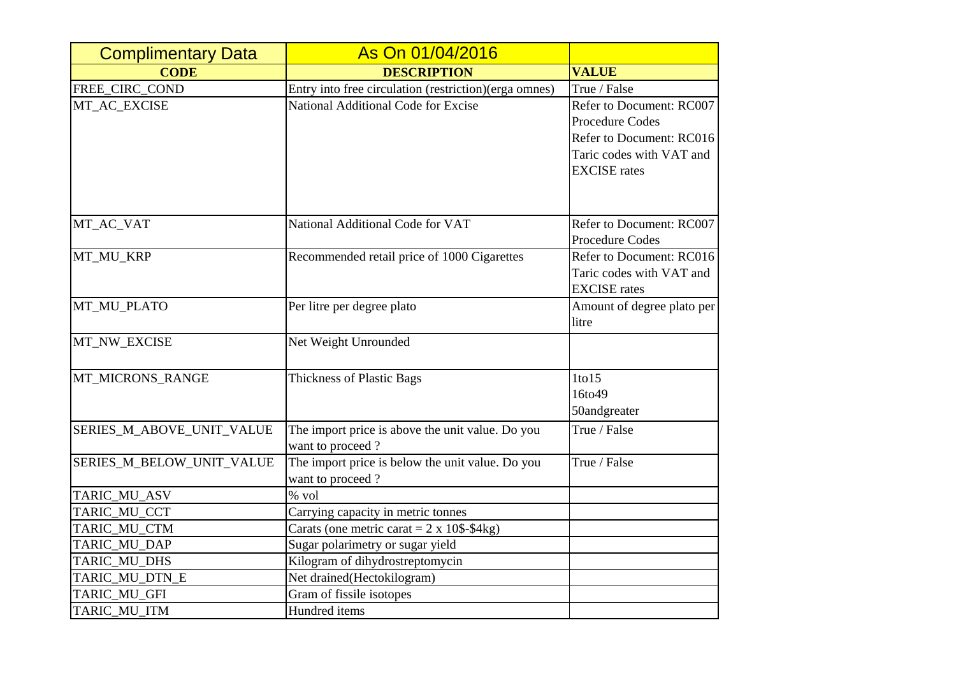| <b>Complimentary Data</b> | As On 01/04/2016                                           |                            |
|---------------------------|------------------------------------------------------------|----------------------------|
| <b>CODE</b>               | <b>DESCRIPTION</b>                                         | <b>VALUE</b>               |
| FREE_CIRC_COND            | Entry into free circulation (restriction)(erga omnes)      | True / False               |
| MT_AC_EXCISE              | National Additional Code for Excise                        | Refer to Document: RC007   |
|                           |                                                            | <b>Procedure Codes</b>     |
|                           |                                                            | Refer to Document: RC016   |
|                           |                                                            | Taric codes with VAT and   |
|                           |                                                            | <b>EXCISE</b> rates        |
|                           |                                                            |                            |
| MT_AC_VAT                 | National Additional Code for VAT                           | Refer to Document: RC007   |
|                           |                                                            | <b>Procedure Codes</b>     |
| MT_MU_KRP                 | Recommended retail price of 1000 Cigarettes                | Refer to Document: RC016   |
|                           |                                                            | Taric codes with VAT and   |
|                           |                                                            | <b>EXCISE</b> rates        |
| MT_MU_PLATO               | Per litre per degree plato                                 | Amount of degree plato per |
|                           |                                                            | litre                      |
| MT_NW_EXCISE              | Net Weight Unrounded                                       |                            |
| MT_MICRONS_RANGE          | <b>Thickness of Plastic Bags</b>                           | $1$ to $15$                |
|                           |                                                            | 16to49                     |
|                           |                                                            | 50andgreater               |
| SERIES_M_ABOVE_UNIT_VALUE | The import price is above the unit value. Do you           | True / False               |
|                           | want to proceed?                                           |                            |
| SERIES_M_BELOW_UNIT_VALUE | The import price is below the unit value. Do you           | True / False               |
|                           | want to proceed?                                           |                            |
| TARIC_MU_ASV              | % vol                                                      |                            |
| TARIC_MU_CCT              | Carrying capacity in metric tonnes                         |                            |
| TARIC_MU_CTM              | Carats (one metric carat = $2 \times 10\$ - $4\text{kg}$ ) |                            |
| TARIC_MU_DAP              | Sugar polarimetry or sugar yield                           |                            |
| TARIC_MU_DHS              | Kilogram of dihydrostreptomycin                            |                            |
| TARIC_MU_DTN_E            | Net drained(Hectokilogram)                                 |                            |
| TARIC_MU_GFI              | Gram of fissile isotopes                                   |                            |
| TARIC_MU_ITM              | Hundred items                                              |                            |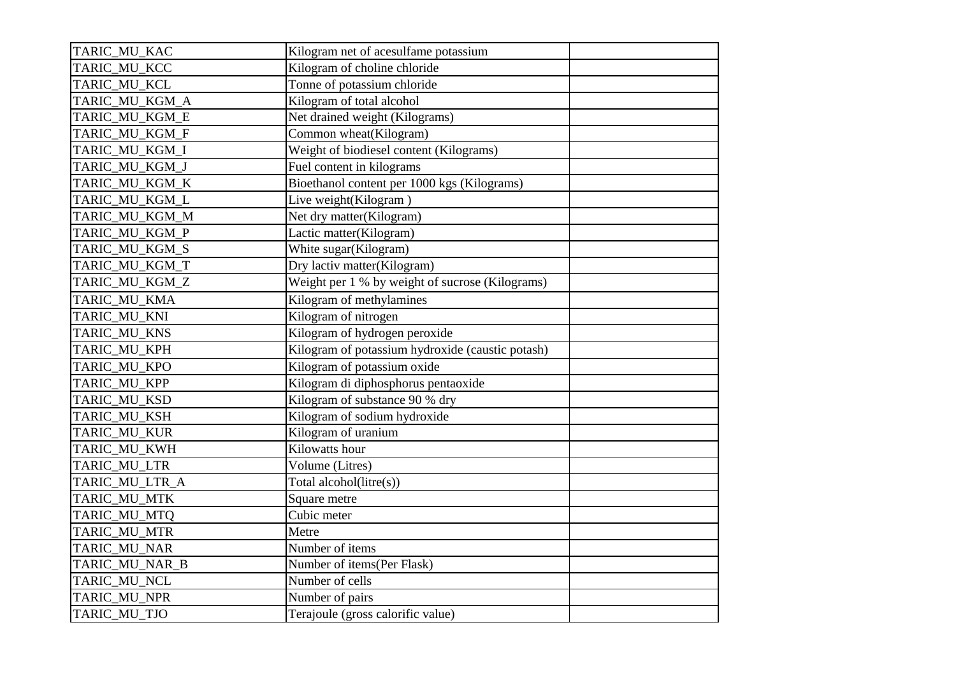| TARIC_MU_KAC   | Kilogram net of acesulfame potassium             |  |
|----------------|--------------------------------------------------|--|
| TARIC_MU_KCC   | Kilogram of choline chloride                     |  |
| TARIC_MU_KCL   | Tonne of potassium chloride                      |  |
| TARIC_MU_KGM_A | Kilogram of total alcohol                        |  |
| TARIC_MU_KGM_E | Net drained weight (Kilograms)                   |  |
| TARIC_MU_KGM_F | Common wheat(Kilogram)                           |  |
| TARIC_MU_KGM_I | Weight of biodiesel content (Kilograms)          |  |
| TARIC_MU_KGM_J | Fuel content in kilograms                        |  |
| TARIC_MU_KGM_K | Bioethanol content per 1000 kgs (Kilograms)      |  |
| TARIC_MU_KGM_L | Live weight(Kilogram)                            |  |
| TARIC_MU_KGM_M | Net dry matter(Kilogram)                         |  |
| TARIC_MU_KGM_P | Lactic matter(Kilogram)                          |  |
| TARIC_MU_KGM_S | White sugar(Kilogram)                            |  |
| TARIC_MU_KGM_T | Dry lactiv matter(Kilogram)                      |  |
| TARIC_MU_KGM_Z | Weight per 1 % by weight of sucrose (Kilograms)  |  |
| TARIC_MU_KMA   | Kilogram of methylamines                         |  |
| TARIC_MU_KNI   | Kilogram of nitrogen                             |  |
| TARIC_MU_KNS   | Kilogram of hydrogen peroxide                    |  |
| TARIC_MU_KPH   | Kilogram of potassium hydroxide (caustic potash) |  |
| TARIC_MU_KPO   | Kilogram of potassium oxide                      |  |
| TARIC_MU_KPP   | Kilogram di diphosphorus pentaoxide              |  |
| TARIC_MU_KSD   | Kilogram of substance 90 % dry                   |  |
| TARIC_MU_KSH   | Kilogram of sodium hydroxide                     |  |
| TARIC_MU_KUR   | Kilogram of uranium                              |  |
| TARIC_MU_KWH   | Kilowatts hour                                   |  |
| TARIC_MU_LTR   | Volume (Litres)                                  |  |
| TARIC_MU_LTR_A | Total alcohol(litre(s))                          |  |
| TARIC_MU_MTK   | Square metre                                     |  |
| TARIC_MU_MTQ   | Cubic meter                                      |  |
| TARIC_MU_MTR   | Metre                                            |  |
| TARIC_MU_NAR   | Number of items                                  |  |
| TARIC_MU_NAR_B | Number of items(Per Flask)                       |  |
| TARIC_MU_NCL   | Number of cells                                  |  |
| TARIC_MU_NPR   | Number of pairs                                  |  |
| TARIC_MU_TJO   | Terajoule (gross calorific value)                |  |